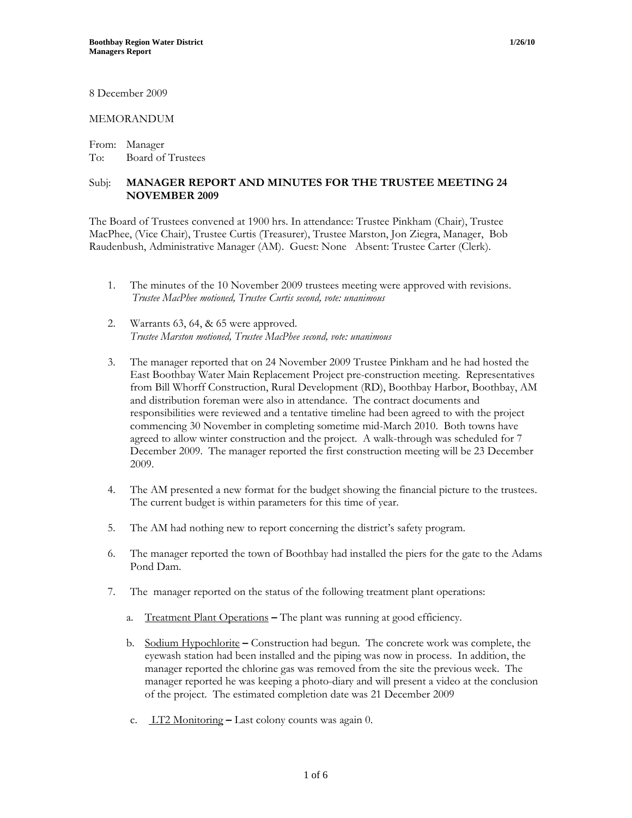8 December 2009

#### MEMORANDUM

From: Manager To: Board of Trustees

#### Subj: **MANAGER REPORT AND MINUTES FOR THE TRUSTEE MEETING 24 NOVEMBER 2009**

The Board of Trustees convened at 1900 hrs. In attendance: Trustee Pinkham (Chair), Trustee MacPhee, (Vice Chair), Trustee Curtis (Treasurer), Trustee Marston, Jon Ziegra, Manager, Bob Raudenbush, Administrative Manager (AM). Guest: None Absent: Trustee Carter (Clerk).

- 1. The minutes of the 10 November 2009 trustees meeting were approved with revisions. *Trustee MacPhee motioned, Trustee Curtis second, vote: unanimous*
- 2. Warrants 63, 64, & 65 were approved. *Trustee Marston motioned, Trustee MacPhee second, vote: unanimous*
- 3. The manager reported that on 24 November 2009 Trustee Pinkham and he had hosted the East Boothbay Water Main Replacement Project pre-construction meeting. Representatives from Bill Whorff Construction, Rural Development (RD), Boothbay Harbor, Boothbay, AM and distribution foreman were also in attendance. The contract documents and responsibilities were reviewed and a tentative timeline had been agreed to with the project commencing 30 November in completing sometime mid-March 2010. Both towns have agreed to allow winter construction and the project. A walk-through was scheduled for 7 December 2009. The manager reported the first construction meeting will be 23 December 2009.
- 4. The AM presented a new format for the budget showing the financial picture to the trustees. The current budget is within parameters for this time of year.
- 5. The AM had nothing new to report concerning the district's safety program.
- 6. The manager reported the town of Boothbay had installed the piers for the gate to the Adams Pond Dam.
- 7. The manager reported on the status of the following treatment plant operations:
	- a. Treatment Plant Operations **–** The plant was running at good efficiency.
	- b. Sodium Hypochlorite **–** Construction had begun. The concrete work was complete, the eyewash station had been installed and the piping was now in process. In addition, the manager reported the chlorine gas was removed from the site the previous week. The manager reported he was keeping a photo-diary and will present a video at the conclusion of the project. The estimated completion date was 21 December 2009
	- c. LT2 MonitoringLast colony counts was again 0.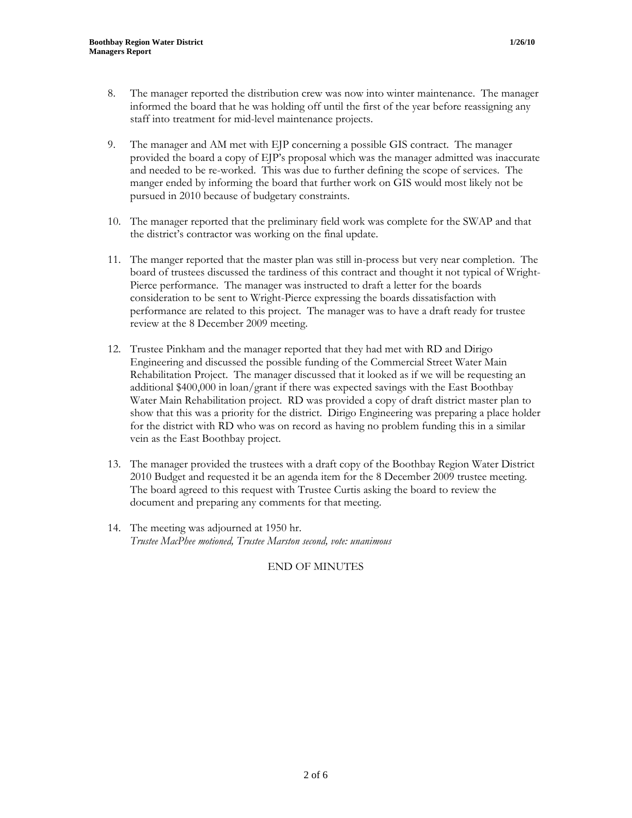- 8. The manager reported the distribution crew was now into winter maintenance. The manager informed the board that he was holding off until the first of the year before reassigning any staff into treatment for mid-level maintenance projects.
- 9. The manager and AM met with EJP concerning a possible GIS contract. The manager provided the board a copy of EJP's proposal which was the manager admitted was inaccurate and needed to be re-worked. This was due to further defining the scope of services. The manger ended by informing the board that further work on GIS would most likely not be pursued in 2010 because of budgetary constraints.
- 10. The manager reported that the preliminary field work was complete for the SWAP and that the district's contractor was working on the final update.
- 11. The manger reported that the master plan was still in-process but very near completion. The board of trustees discussed the tardiness of this contract and thought it not typical of Wright-Pierce performance. The manager was instructed to draft a letter for the boards consideration to be sent to Wright-Pierce expressing the boards dissatisfaction with performance are related to this project. The manager was to have a draft ready for trustee review at the 8 December 2009 meeting.
- 12. Trustee Pinkham and the manager reported that they had met with RD and Dirigo Engineering and discussed the possible funding of the Commercial Street Water Main Rehabilitation Project. The manager discussed that it looked as if we will be requesting an additional \$400,000 in loan/grant if there was expected savings with the East Boothbay Water Main Rehabilitation project. RD was provided a copy of draft district master plan to show that this was a priority for the district. Dirigo Engineering was preparing a place holder for the district with RD who was on record as having no problem funding this in a similar vein as the East Boothbay project.
- 13. The manager provided the trustees with a draft copy of the Boothbay Region Water District 2010 Budget and requested it be an agenda item for the 8 December 2009 trustee meeting. The board agreed to this request with Trustee Curtis asking the board to review the document and preparing any comments for that meeting.
- 14. The meeting was adjourned at 1950 hr. *Trustee MacPhee motioned, Trustee Marston second, vote: unanimous*

## END OF MINUTES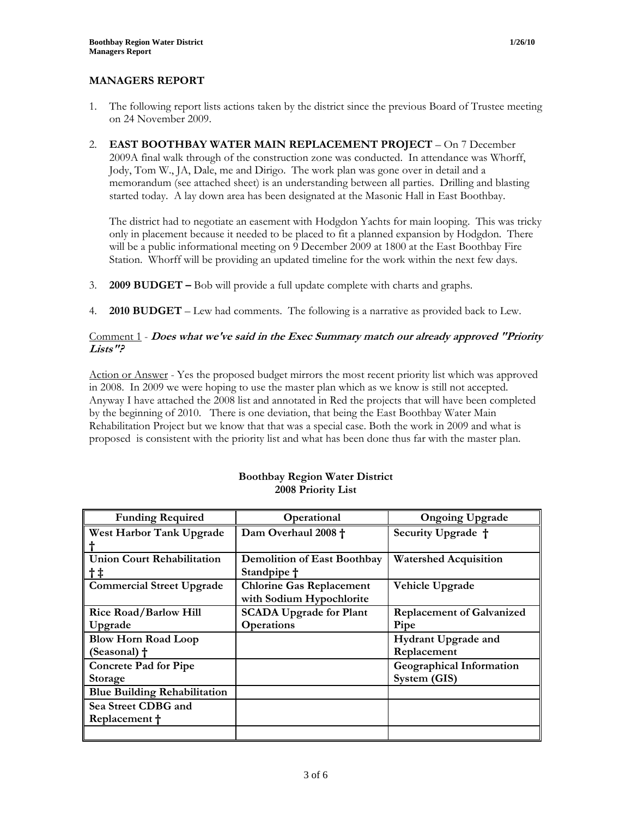## **MANAGERS REPORT**

- 1. The following report lists actions taken by the district since the previous Board of Trustee meeting on 24 November 2009.
- 2. **EAST BOOTHBAY WATER MAIN REPLACEMENT PROJECT** On 7 December 2009A final walk through of the construction zone was conducted. In attendance was Whorff, Jody, Tom W., JA, Dale, me and Dirigo. The work plan was gone over in detail and a memorandum (see attached sheet) is an understanding between all parties. Drilling and blasting started today. A lay down area has been designated at the Masonic Hall in East Boothbay.

The district had to negotiate an easement with Hodgdon Yachts for main looping. This was tricky only in placement because it needed to be placed to fit a planned expansion by Hodgdon. There will be a public informational meeting on 9 December 2009 at 1800 at the East Boothbay Fire Station. Whorff will be providing an updated timeline for the work within the next few days.

- 3. **2009 BUDGET** Bob will provide a full update complete with charts and graphs.
- 4. **2010 BUDGET** Lew had comments. The following is a narrative as provided back to Lew.

## Comment 1 - **Does what we've said in the Exec Summary match our already approved "Priority Lists"?**

Action or Answer - Yes the proposed budget mirrors the most recent priority list which was approved in 2008. In 2009 we were hoping to use the master plan which as we know is still not accepted. Anyway I have attached the 2008 list and annotated in Red the projects that will have been completed by the beginning of 2010. There is one deviation, that being the East Boothbay Water Main Rehabilitation Project but we know that that was a special case. Both the work in 2009 and what is proposed is consistent with the priority list and what has been done thus far with the master plan.

| <b>Funding Required</b>             | Operational                        | <b>Ongoing Upgrade</b>           |
|-------------------------------------|------------------------------------|----------------------------------|
| West Harbor Tank Upgrade            | Dam Overhaul 2008 +                | Security Upgrade †               |
|                                     |                                    |                                  |
| <b>Union Court Rehabilitation</b>   | <b>Demolition of East Boothbay</b> | <b>Watershed Acquisition</b>     |
| $\dagger$ ‡                         | Standpipe †                        |                                  |
| <b>Commercial Street Upgrade</b>    | <b>Chlorine Gas Replacement</b>    | Vehicle Upgrade                  |
|                                     | with Sodium Hypochlorite           |                                  |
| <b>Rice Road/Barlow Hill</b>        | <b>SCADA Upgrade for Plant</b>     | <b>Replacement of Galvanized</b> |
| Upgrade                             | <b>Operations</b>                  | Pipe                             |
| <b>Blow Horn Road Loop</b>          |                                    | <b>Hydrant Upgrade and</b>       |
| (Seasonal) †                        |                                    | Replacement                      |
| <b>Concrete Pad for Pipe</b>        |                                    | <b>Geographical Information</b>  |
| <b>Storage</b>                      |                                    | System (GIS)                     |
| <b>Blue Building Rehabilitation</b> |                                    |                                  |
| Sea Street CDBG and                 |                                    |                                  |
| Replacement +                       |                                    |                                  |
|                                     |                                    |                                  |

#### **Boothbay Region Water District 2008 Priority List**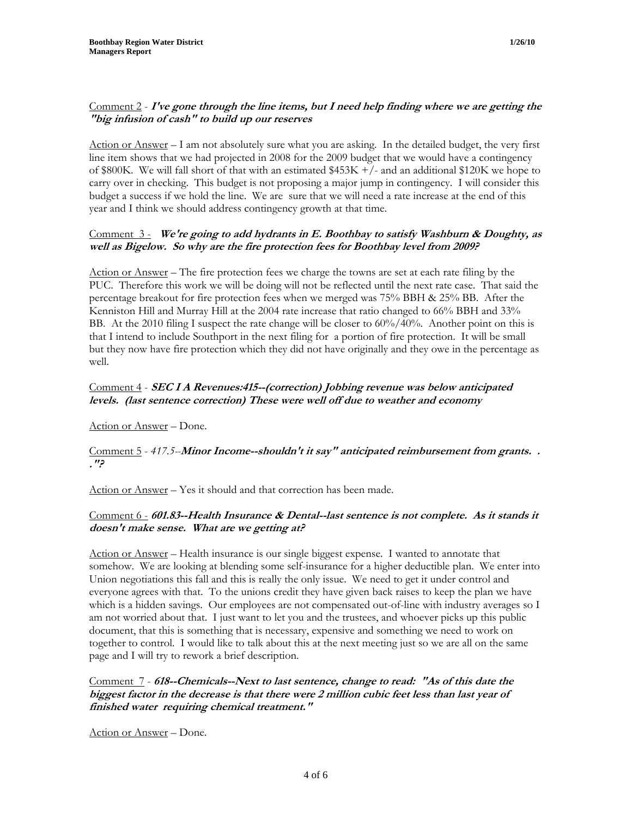Action or Answer – I am not absolutely sure what you are asking. In the detailed budget, the very first line item shows that we had projected in 2008 for the 2009 budget that we would have a contingency of \$800K. We will fall short of that with an estimated \$453K +/- and an additional \$120K we hope to carry over in checking. This budget is not proposing a major jump in contingency. I will consider this budget a success if we hold the line. We are sure that we will need a rate increase at the end of this year and I think we should address contingency growth at that time.

## Comment 3 - **We're going to add hydrants in E. Boothbay to satisfy Washburn & Doughty, as well as Bigelow. So why are the fire protection fees for Boothbay level from 2009?**

Action or Answer – The fire protection fees we charge the towns are set at each rate filing by the PUC. Therefore this work we will be doing will not be reflected until the next rate case. That said the percentage breakout for fire protection fees when we merged was 75% BBH & 25% BB. After the Kenniston Hill and Murray Hill at the 2004 rate increase that ratio changed to 66% BBH and 33% BB. At the 2010 filing I suspect the rate change will be closer to  $60\%/40\%$ . Another point on this is that I intend to include Southport in the next filing for a portion of fire protection. It will be small but they now have fire protection which they did not have originally and they owe in the percentage as well.

## Comment 4 - **SEC I A Revenues:415--(correction) Jobbing revenue was below anticipated levels. (last sentence correction) These were well off due to weather and economy**

Action or Answer – Done.

#### Comment 5 - *417.5--***Minor Income--shouldn't it say" anticipated reimbursement from grants. . ."?**

Action or Answer – Yes it should and that correction has been made.

## Comment 6 - **601.83--Health Insurance & Dental--last sentence is not complete. As it stands it doesn't make sense. What are we getting at?**

Action or Answer – Health insurance is our single biggest expense. I wanted to annotate that somehow. We are looking at blending some self-insurance for a higher deductible plan. We enter into Union negotiations this fall and this is really the only issue. We need to get it under control and everyone agrees with that. To the unions credit they have given back raises to keep the plan we have which is a hidden savings. Our employees are not compensated out-of-line with industry averages so I am not worried about that. I just want to let you and the trustees, and whoever picks up this public document, that this is something that is necessary, expensive and something we need to work on together to control. I would like to talk about this at the next meeting just so we are all on the same page and I will try to rework a brief description.

## Comment 7 - **618--Chemicals--Next to last sentence, change to read: "As of this date the biggest factor in the decrease is that there were 2 million cubic feet less than last year of finished water requiring chemical treatment."**

Action or Answer – Done.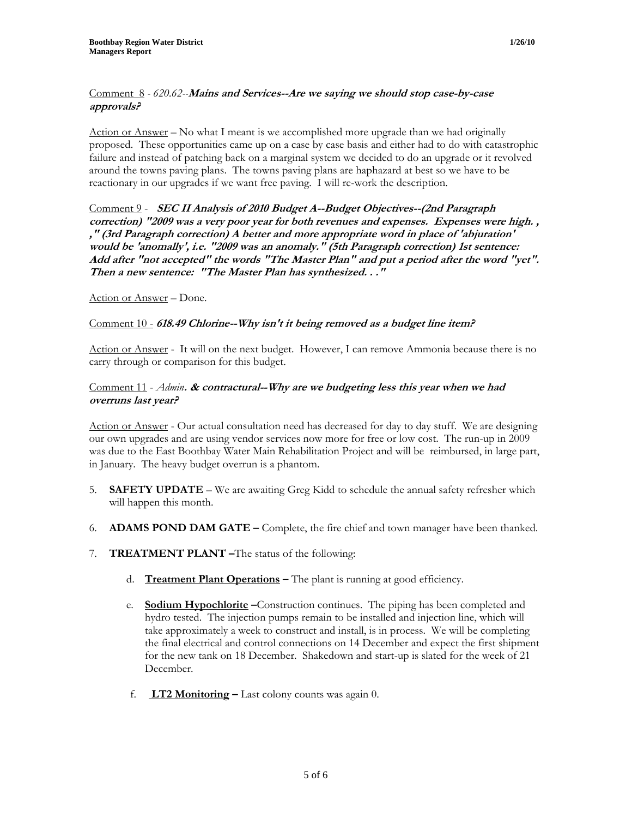## Comment 8 *- 620.62--***Mains and Services--Are we saying we should stop case-by-case approvals?**

Action or Answer – No what I meant is we accomplished more upgrade than we had originally proposed. These opportunities came up on a case by case basis and either had to do with catastrophic failure and instead of patching back on a marginal system we decided to do an upgrade or it revolved around the towns paving plans. The towns paving plans are haphazard at best so we have to be reactionary in our upgrades if we want free paving. I will re-work the description.

Comment 9 - **SEC II Analysis of 2010 Budget A--Budget Objectives--(2nd Paragraph correction) "2009 was a very poor year for both revenues and expenses. Expenses were high. , ," (3rd Paragraph correction) A better and more appropriate word in place of 'abjuration' would be 'anomally', i.e. "2009 was an anomaly." (5th Paragraph correction) 1st sentence: Add after "not accepted" the words "The Master Plan" and put a period after the word "yet". Then a new sentence: "The Master Plan has synthesized. . ."** 

Action or Answer – Done.

#### Comment 10 - **618.49 Chlorine--Why isn't it being removed as a budget line item?**

Action or Answer - It will on the next budget. However, I can remove Ammonia because there is no carry through or comparison for this budget.

### Comment 11 - *Admin***. & contractural--Why are we budgeting less this year when we had overruns last year?**

Action or Answer - Our actual consultation need has decreased for day to day stuff. We are designing our own upgrades and are using vendor services now more for free or low cost. The run-up in 2009 was due to the East Boothbay Water Main Rehabilitation Project and will be reimbursed, in large part, in January. The heavy budget overrun is a phantom.

- 5. **SAFETY UPDATE** We are awaiting Greg Kidd to schedule the annual safety refresher which will happen this month.
- 6. **ADAMS POND DAM GATE** Complete, the fire chief and town manager have been thanked.
- 7. **TREATMENT PLANT –**The status of the following:
	- d. **Treatment Plant Operations –** The plant is running at good efficiency.
	- e. **Sodium Hypochlorite –**Construction continues. The piping has been completed and hydro tested. The injection pumps remain to be installed and injection line, which will take approximately a week to construct and install, is in process. We will be completing the final electrical and control connections on 14 December and expect the first shipment for the new tank on 18 December. Shakedown and start-up is slated for the week of 21 December.
	- f. **LT2 Monitoring** Last colony counts was again 0.